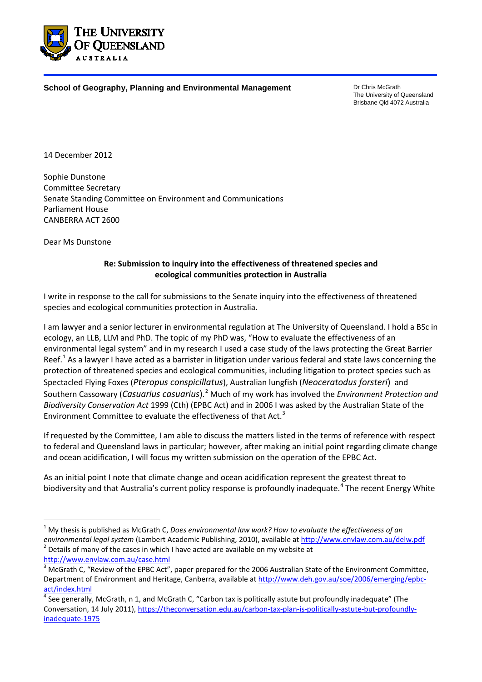

**School of Geography, Planning and Environmental Management** Dr Chris McGrath

The University of Queensland Brisbane Qld 4072 Australia

14 December 2012

Sophie Dunstone Committee Secretary Senate Standing Committee on Environment and Communications Parliament House CANBERRA ACT 2600

Dear Ms Dunstone

-

## **Re: Submission to inquiry into the effectiveness of threatened species and ecological communities protection in Australia**

I write in response to the call for submissions to the Senate inquiry into the effectiveness of threatened species and ecological communities protection in Australia.

<span id="page-0-0"></span>I am lawyer and a senior lecturer in environmental regulation at The University of Queensland. I hold a BSc in ecology, an LLB, LLM and PhD. The topic of my PhD was, "How to evaluate the effectiveness of an environmental legal system" and in my research I used a case study of the laws protecting the Great Barrier Reef.<sup>[1](#page-0-1)</sup> As a lawyer I have acted as a barrister in litigation under various federal and state laws concerning the protection of threatened species and ecological communities, including litigation to protect species such as Spectacled Flying Foxes (*Pteropus conspicillatus*), Australian lungfish (*Neoceratodus forsteri*) and Southern Cassowary (*Casuarius casuarius*). [2](#page-0-2) Much of my work has involved the *Environment Protection and Biodiversity Conservation Act* 1999 (Cth) (EPBC Act) and in 2006 I was asked by the Australian State of the Environment Committee to evaluate the effectiveness of that Act.<sup>[3](#page-0-3)</sup>

If requested by the Committee, I am able to discuss the matters listed in the terms of reference with respect to federal and Queensland laws in particular; however, after making an initial point regarding climate change and ocean acidification, I will focus my written submission on the operation of the EPBC Act.

As an initial point I note that climate change and ocean acidification represent the greatest threat to biodiversity and that Australia's current policy response is profoundly inadequate.<sup>[4](#page-0-4)</sup> The recent Energy White

<span id="page-0-2"></span>

<span id="page-0-1"></span><sup>1</sup> My thesis is published as McGrath C, *Does environmental law work? How to evaluate the effectiveness of an environmental legal system* (Lambert Academic Publishing, 2010), available at <u>http://www.envlaw.com.au/delw.pdf</u><br>
<sup>2</sup> Details of many of the cases in which I have acted are available on my website at<br>  $\frac{http://www.envlaw.com.au/case.html}{3$ <br>

<span id="page-0-3"></span>McGrath C, "Review of the EPBC Act", paper prepared for the 2006 Australian State of the Environment Committee, Department of Environment and Heritage, Canberra, available at [http://www.deh.gov.au/soe/2006/emerging/epbc-](http://www.deh.gov.au/soe/2006/emerging/epbc-act/index.html)act/index.html<br><sup>4</sup> See generally, McGrath, n [1,](#page-0-0) and McGrath C, "Carbon tax is politically astute but profoundly inadequate" (The

<span id="page-0-4"></span>Conversation, 14 July 2011)[, https://theconversation.edu.au/carbon-tax-plan-is-politically-astute-but-profoundly](https://theconversation.edu.au/carbon-tax-plan-is-politically-astute-but-profoundly-inadequate-1975)[inadequate-1975](https://theconversation.edu.au/carbon-tax-plan-is-politically-astute-but-profoundly-inadequate-1975)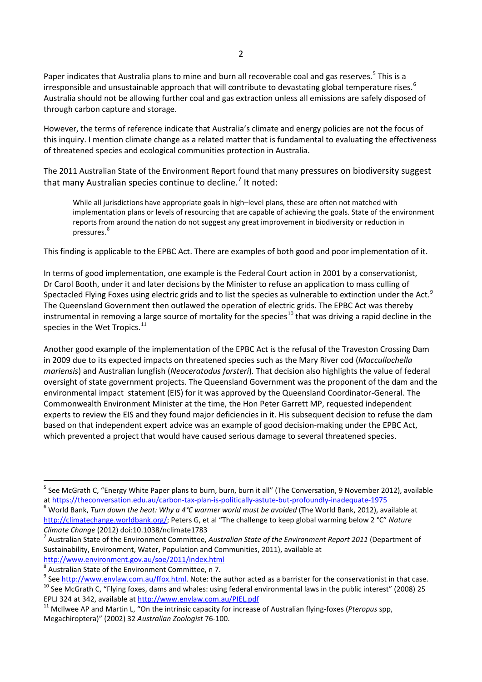Paper indicates that Australia plans to mine and burn all recoverable coal and gas reserves.<sup>[5](#page-1-1)</sup> This is a irresponsible and unsustainable approach that will contribute to devastating global temperature rises.<sup>[6](#page-1-2)</sup> Australia should not be allowing further coal and gas extraction unless all emissions are safely disposed of through carbon capture and storage.

However, the terms of reference indicate that Australia's climate and energy policies are not the focus of this inquiry. I mention climate change as a related matter that is fundamental to evaluating the effectiveness of threatened species and ecological communities protection in Australia.

The 2011 Australian State of the Environment Report found that many pressures on biodiversity suggest that many Australian species continue to decline.<sup>[7](#page-1-3)</sup> It noted:

<span id="page-1-0"></span>While all jurisdictions have appropriate goals in high–level plans, these are often not matched with implementation plans or levels of resourcing that are capable of achieving the goals. State of the environment reports from around the nation do not suggest any great improvement in biodiversity or reduction in pressures. [8](#page-1-4)

This finding is applicable to the EPBC Act. There are examples of both good and poor implementation of it.

In terms of good implementation, one example is the Federal Court action in 2001 by a conservationist, Dr Carol Booth, under it and later decisions by the Minister to refuse an application to mass culling of Spectacled Flying Foxes using electric grids and to list the species as vulnerable to extinction under the Act. $^{\circ}$ The Queensland Government then outlawed the operation of electric grids. The EPBC Act was thereby instrumental in removing a large source of mortality for the species<sup>[10](#page-1-6)</sup> that was driving a rapid decline in the species in the Wet Tropics.<sup>[11](#page-1-7)</sup>

Another good example of the implementation of the EPBC Act is the refusal of the Traveston Crossing Dam in 2009 due to its expected impacts on threatened species such as the Mary River cod (*Maccullochella mariensis*) and Australian lungfish (*Neoceratodus forsteri*)*.* That decision also highlights the value of federal oversight of state government projects. The Queensland Government was the proponent of the dam and the environmental impact statement (EIS) for it was approved by the Queensland Coordinator-General. The Commonwealth Environment Minister at the time, the Hon Peter Garrett MP, requested independent experts to review the EIS and they found major deficiencies in it. His subsequent decision to refuse the dam based on that independent expert advice was an example of good decision-making under the EPBC Act, which prevented a project that would have caused serious damage to several threatened species.

<span id="page-1-1"></span><sup>&</sup>lt;sup>5</sup> See McGrath C, "Energy White Paper plans to burn, burn, burn it all" (The Conversation, 9 November 2012), available a[t https://theconversation.edu.au/carbon-tax-plan-is-politically-astute-but-profoundly-inadequate-1975](https://theconversation.edu.au/carbon-tax-plan-is-politically-astute-but-profoundly-inadequate-1975)<br><sup>6</sup> World Bank, *Turn down the heat: Why a 4°C warmer world must be avoided* (The World Bank, 2012), available at

<span id="page-1-2"></span>[http://climatechange.worldbank.org/;](http://climatechange.worldbank.org/) Peters G, et al "The challenge to keep global warming below 2 °C" *Nature* 

<span id="page-1-3"></span>*Climate Change* (2012) doi:10.1038/nclimate1783<br><sup>7</sup> Australian State of the Environment Committee, *Australian State of the Environment Report 2011* (Department of Sustainability, Environment, Water, Population and Communities, 2011), available at <http://www.environment.gov.au/soe/2011/index.html>

<span id="page-1-5"></span><span id="page-1-4"></span><sup>&</sup>lt;sup>8</sup> Australian State of the Environment Committee, n [7.](#page-1-0)<br><sup>9</sup> See [http://www.envlaw.com.au/ffox.html.](http://www.envlaw.com.au/ffox.html) Note: the author acted as a barrister for the conservationist in that case.<br><sup>10</sup> See McGrath C, "Flying foxes, dams and w

<span id="page-1-7"></span><span id="page-1-6"></span>EPLJ 324 at 342, available at<http://www.envlaw.com.au/PIEL.pdf><br><sup>11</sup> McIlwee AP and Martin L, "On the intrinsic capacity for increase of Australian flying-foxes (*Pteropus* spp, Megachiroptera)" (2002) 32 *Australian Zoologist* 76-100.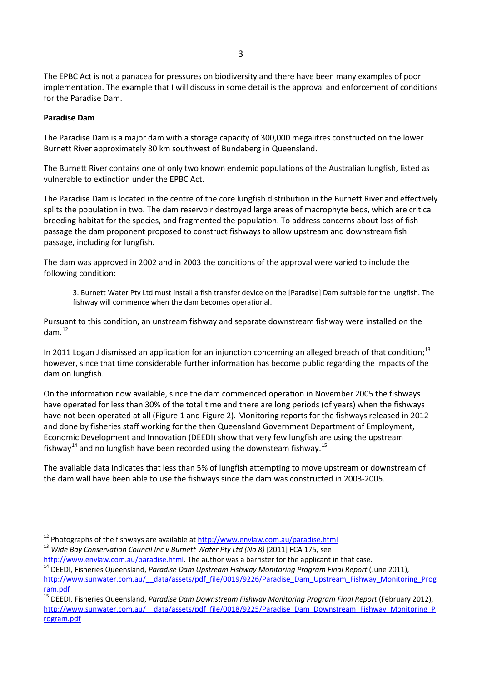The EPBC Act is not a panacea for pressures on biodiversity and there have been many examples of poor implementation. The example that I will discuss in some detail is the approval and enforcement of conditions for the Paradise Dam.

## **Paradise Dam**

The Paradise Dam is a major dam with a storage capacity of 300,000 megalitres constructed on the lower Burnett River approximately 80 km southwest of Bundaberg in Queensland.

The Burnett River contains one of only two known endemic populations of the Australian lungfish, listed as vulnerable to extinction under the EPBC Act.

The Paradise Dam is located in the centre of the core lungfish distribution in the Burnett River and effectively splits the population in two. The dam reservoir destroyed large areas of macrophyte beds, which are critical breeding habitat for the species, and fragmented the population. To address concerns about loss of fish passage the dam proponent proposed to construct fishways to allow upstream and downstream fish passage, including for lungfish.

The dam was approved in 2002 and in 2003 the conditions of the approval were varied to include the following condition:

3. Burnett Water Pty Ltd must install a fish transfer device on the [Paradise] Dam suitable for the lungfish. The fishway will commence when the dam becomes operational.

Pursuant to this condition, an unstream fishway and separate downstream fishway were installed on the dam. $^{12}$  $^{12}$  $^{12}$ 

In 2011 Logan J dismissed an application for an injunction concerning an alleged breach of that condition;<sup>[13](#page-2-1)</sup> however, since that time considerable further information has become public regarding the impacts of the dam on lungfish.

On the information now available, since the dam commenced operation in November 2005 the fishways have operated for less than 30% of the total time and there are long periods (of years) when the fishways have not been operated at all (Figure 1 and Figure 2). Monitoring reports for the fishways released in 2012 and done by fisheries staff working for the then Queensland Government Department of Employment, Economic Development and Innovation (DEEDI) show that very few lungfish are using the upstream fishway<sup>[14](#page-2-2)</sup> and no lungfish have been recorded using the downsteam fishway.<sup>[15](#page-2-3)</sup>

<span id="page-2-4"></span>The available data indicates that less than 5% of lungfish attempting to move upstream or downstream of the dam wall have been able to use the fishways since the dam was constructed in 2003-2005.

<span id="page-2-0"></span><sup>&</sup>lt;sup>12</sup> Photographs of the fishways are available a[t http://www.envlaw.com.au/paradise.html](http://www.envlaw.com.au/paradise.html)<br><sup>13</sup> *Wide Bay Conservation Council Inc v Burnett Water Pty Ltd (No 8)* [2011] FCA 175, see

<span id="page-2-2"></span><span id="page-2-1"></span>http://www.envlaw.com.au/paradise.html</u>. The author was a barrister for the applicant in that case.<br><sup>[14](http://www.envlaw.com.au/paradise.html)</sup> DEEDI, Fisheries Queensland, *Paradise Dam Upstream Fishway Monitoring Program Final Report* (June 2011), http://www.sunwater.com.au/ data/assets/pdf file/0019/9226/Paradise\_Dam\_Upstream\_Fishway\_Monitoring\_Prog [ram.pdf](http://www.sunwater.com.au/__data/assets/pdf_file/0019/9226/Paradise_Dam_Upstream_Fishway_Monitoring_Program.pdf)

<span id="page-2-3"></span><sup>&</sup>lt;sup>15</sup> DEEDI, Fisheries Queensland, *Paradise Dam Downstream Fishway Monitoring Program Final Report* (February 2012), [http://www.sunwater.com.au/\\_\\_data/assets/pdf\\_file/0018/9225/Paradise\\_Dam\\_Downstream\\_Fishway\\_Monitoring\\_P](http://www.sunwater.com.au/__data/assets/pdf_file/0018/9225/Paradise_Dam_Downstream_Fishway_Monitoring_Program.pdf) [rogram.pdf](http://www.sunwater.com.au/__data/assets/pdf_file/0018/9225/Paradise_Dam_Downstream_Fishway_Monitoring_Program.pdf)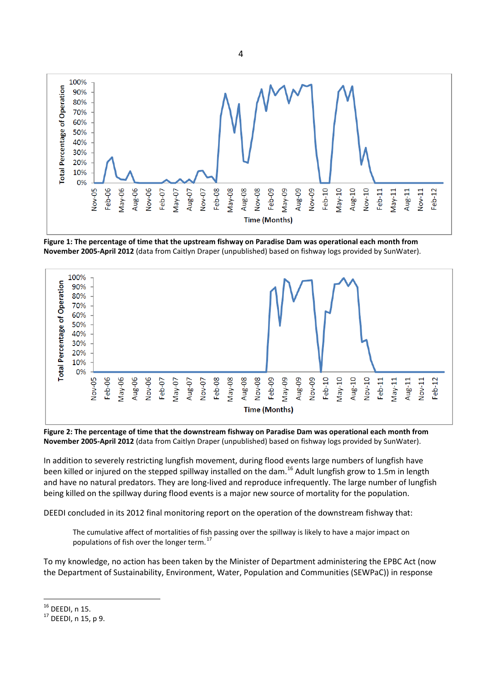

**Figure 1: The percentage of time that the upstream fishway on Paradise Dam was operational each month from November 2005-April 2012** (data from Caitlyn Draper (unpublished) based on fishway logs provided by SunWater).



**Figure 2: The percentage of time that the downstream fishway on Paradise Dam was operational each month from November 2005-April 2012** (data from Caitlyn Draper (unpublished) based on fishway logs provided by SunWater).

In addition to severely restricting lungfish movement, during flood events large numbers of lungfish have been killed or injured on the stepped spillway installed on the dam.<sup>[16](#page-3-0)</sup> Adult lungfish grow to 1.5m in length and have no natural predators. They are long-lived and reproduce infrequently. The large number of lungfish being killed on the spillway during flood events is a major new source of mortality for the population.

DEEDI concluded in its 2012 final monitoring report on the operation of the downstream fishway that:

The cumulative affect of mortalities of fish passing over the spillway is likely to have a major impact on populations of fish over the longer term.<sup>[17](#page-3-1)</sup>

To my knowledge, no action has been taken by the Minister of Department administering the EPBC Act (now the Department of Sustainability, Environment, Water, Population and Communities (SEWPaC)) in response

<span id="page-3-1"></span>

<span id="page-3-0"></span><sup>&</sup>lt;sup>16</sup> DEEDI, n [15.](#page-2-4)<br><sup>17</sup> DEEDI, n [15,](#page-2-4) p 9.